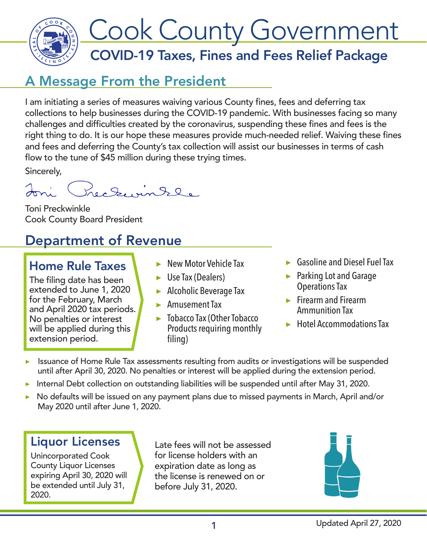

### A Message From the President

I am initiating a series of measures waiving various County fines, fees and deferring tax collections to help businesses during the COVID-19 pandemic. With businesses facing so many challenges and difficulties created by the coronavirus, suspending these fines and fees is the right thing to do. It is our hope these measures provide much-needed relief. Waiving these fines and fees and deferring the County's tax collection will assist our businesses in terms of cash flow to the tune of \$45 million during these trying times.

Sincerely,

Preceuintle Joni

Toni Preckwinkle Cook County Board President

## Department of Revenue

#### Home Rule Taxes

The filing date has been extended to June 1, 2020 for the February, March and April 2020 tax periods. No penalties or interest will be applied during this extension period.

- ▶ New Motor Vehicle Tax
- $\blacktriangleright$  Use Tax (Dealers)
- ▶ Alcoholic Beverage Tax
- ▶ Amusement Tax
- ▶ Tobacco Tax (Other Tobacco Products requiring monthly filing)
- ▶ Gasoline and Diesel Fuel Tax
- ▶ Parking Lot and Garage Operations Tax
- ▶ Firearm and Firearm Ammunition Tax
- ▶ Hotel Accommodations Tax
- Issuance of Home Rule Tax assessments resulting from audits or investigations will be suspended until after April 30, 2020. No penalties or interest will be applied during the extension period.
- ▶ Internal Debt collection on outstanding liabilities will be suspended until after May 31, 2020.
- No defaults will be issued on any payment plans due to missed payments in March, April and/or May 2020 until after June 1, 2020.

#### Liquor Licenses

Unincorporated Cook County Liquor Licenses expiring April 30, 2020 will be extended until July 31, 2020.

Late fees will not be assessed for license holders with an expiration date as long as the license is renewed on or before July 31, 2020.

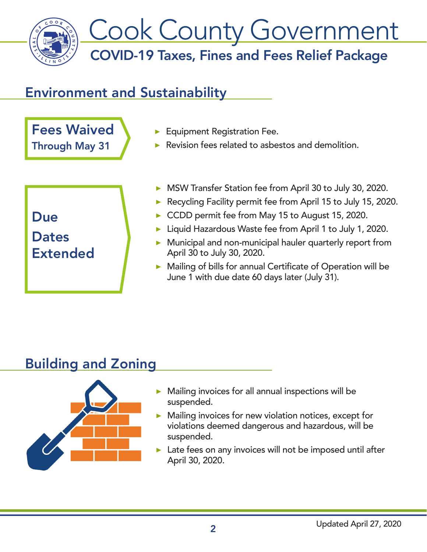

## Environment and Sustainability

Fees Waived Through May 31

- ▶ Equipment Registration Fee.
- ▶ Revision fees related to asbestos and demolition.

Due **Dates** 

#### Extended

- ▶ MSW Transfer Station fee from April 30 to July 30, 2020.
- ▶ Recycling Facility permit fee from April 15 to July 15, 2020.
- CCDD permit fee from May 15 to August 15, 2020.
- ▶ Liquid Hazardous Waste fee from April 1 to July 1, 2020.
- ▶ Municipal and non-municipal hauler quarterly report from April 30 to July 30, 2020.
- ▶ Mailing of bills for annual Certificate of Operation will be June 1 with due date 60 days later (July 31).

# Building and Zoning



- ▶ Mailing invoices for all annual inspections will be suspended.
- ▶ Mailing invoices for new violation notices, except for violations deemed dangerous and hazardous, will be suspended.
- Late fees on any invoices will not be imposed until after April 30, 2020.